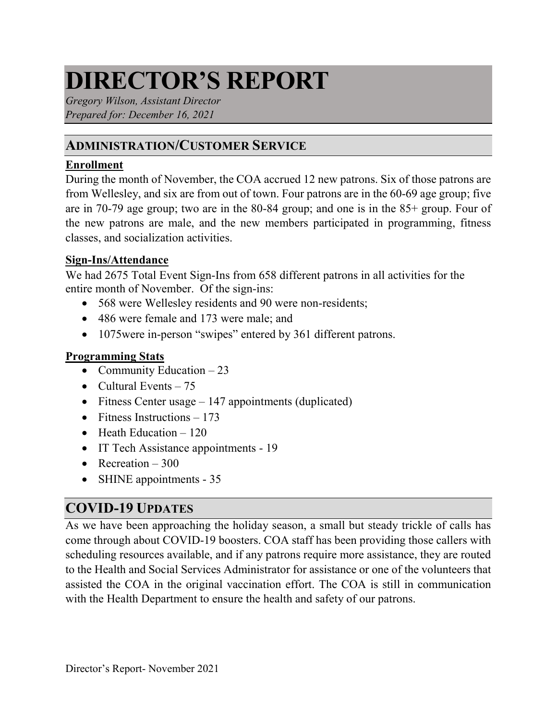# **DIRECTOR'S REPORT**

*Gregory Wilson, Assistant Director Prepared for: December 16, 2021*

## **ADMINISTRATION/CUSTOMER SERVICE**

#### **Enrollment**

During the month of November, the COA accrued 12 new patrons. Six of those patrons are from Wellesley, and six are from out of town. Four patrons are in the 60-69 age group; five are in 70-79 age group; two are in the 80-84 group; and one is in the 85+ group. Four of the new patrons are male, and the new members participated in programming, fitness classes, and socialization activities.

#### **Sign-Ins/Attendance**

We had 2675 Total Event Sign-Ins from 658 different patrons in all activities for the entire month of November. Of the sign-ins:

- 568 were Wellesley residents and 90 were non-residents;
- 486 were female and 173 were male; and
- 1075 were in-person "swipes" entered by 361 different patrons.

#### **Programming Stats**

- Community Education  $-23$
- Cultural Events  $-75$
- Fitness Center usage  $-147$  appointments (duplicated)
- Fitness Instructions  $-173$
- Heath Education  $-120$
- IT Tech Assistance appointments 19
- Recreation  $-300$
- SHINE appointments 35

# **COVID-19 UPDATES**

As we have been approaching the holiday season, a small but steady trickle of calls has come through about COVID-19 boosters. COA staff has been providing those callers with scheduling resources available, and if any patrons require more assistance, they are routed to the Health and Social Services Administrator for assistance or one of the volunteers that assisted the COA in the original vaccination effort. The COA is still in communication with the Health Department to ensure the health and safety of our patrons.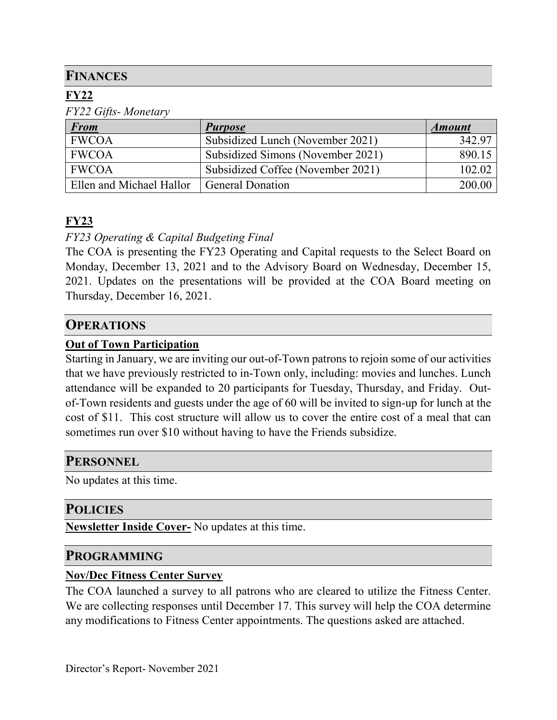## **FINANCES**

## **FY22**

*FY22 Gifts- Monetary*

| <b>From</b>              | <b>Purpose</b>                    | <i><b>Amount</b></i> |
|--------------------------|-----------------------------------|----------------------|
| <b>FWCOA</b>             | Subsidized Lunch (November 2021)  | 342.97               |
| <b>FWCOA</b>             | Subsidized Simons (November 2021) | 890.15               |
| <b>FWCOA</b>             | Subsidized Coffee (November 2021) | 102.02               |
| Ellen and Michael Hallor | <b>General Donation</b>           | 200.00               |

## **FY23**

#### *FY23 Operating & Capital Budgeting Final*

The COA is presenting the FY23 Operating and Capital requests to the Select Board on Monday, December 13, 2021 and to the Advisory Board on Wednesday, December 15, 2021. Updates on the presentations will be provided at the COA Board meeting on Thursday, December 16, 2021.

#### **OPERATIONS**

#### **Out of Town Participation**

Starting in January, we are inviting our out-of-Town patrons to rejoin some of our activities that we have previously restricted to in-Town only, including: movies and lunches. Lunch attendance will be expanded to 20 participants for Tuesday, Thursday, and Friday. Outof-Town residents and guests under the age of 60 will be invited to sign-up for lunch at the cost of \$11. This cost structure will allow us to cover the entire cost of a meal that can sometimes run over \$10 without having to have the Friends subsidize.

#### **PERSONNEL**

No updates at this time.

#### **POLICIES**

**Newsletter Inside Cover-** No updates at this time.

#### **PROGRAMMING**

#### **Nov/Dec Fitness Center Survey**

The COA launched a survey to all patrons who are cleared to utilize the Fitness Center. We are collecting responses until December 17. This survey will help the COA determine any modifications to Fitness Center appointments. The questions asked are attached.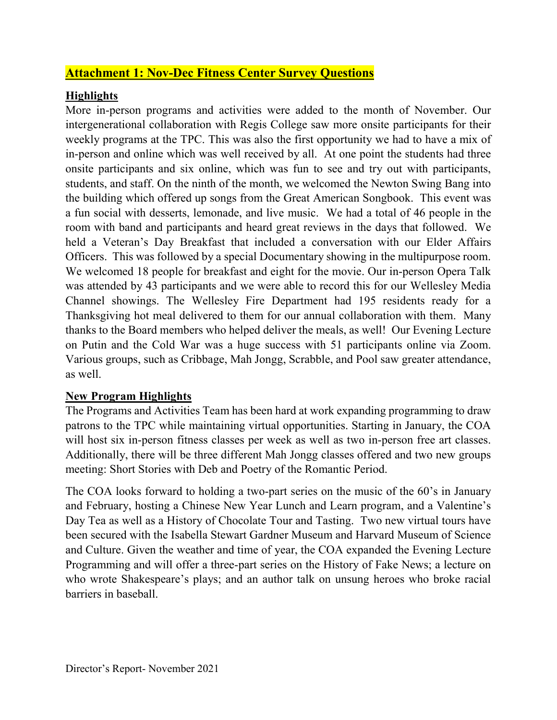## **Attachment 1: Nov-Dec Fitness Center Survey Questions**

### **Highlights**

More in-person programs and activities were added to the month of November. Our intergenerational collaboration with Regis College saw more onsite participants for their weekly programs at the TPC. This was also the first opportunity we had to have a mix of in-person and online which was well received by all. At one point the students had three onsite participants and six online, which was fun to see and try out with participants, students, and staff. On the ninth of the month, we welcomed the Newton Swing Bang into the building which offered up songs from the Great American Songbook. This event was a fun social with desserts, lemonade, and live music. We had a total of 46 people in the room with band and participants and heard great reviews in the days that followed. We held a Veteran's Day Breakfast that included a conversation with our Elder Affairs Officers. This was followed by a special Documentary showing in the multipurpose room. We welcomed 18 people for breakfast and eight for the movie. Our in-person Opera Talk was attended by 43 participants and we were able to record this for our Wellesley Media Channel showings. The Wellesley Fire Department had 195 residents ready for a Thanksgiving hot meal delivered to them for our annual collaboration with them. Many thanks to the Board members who helped deliver the meals, as well! Our Evening Lecture on Putin and the Cold War was a huge success with 51 participants online via Zoom. Various groups, such as Cribbage, Mah Jongg, Scrabble, and Pool saw greater attendance, as well.

#### **New Program Highlights**

The Programs and Activities Team has been hard at work expanding programming to draw patrons to the TPC while maintaining virtual opportunities. Starting in January, the COA will host six in-person fitness classes per week as well as two in-person free art classes. Additionally, there will be three different Mah Jongg classes offered and two new groups meeting: Short Stories with Deb and Poetry of the Romantic Period.

The COA looks forward to holding a two-part series on the music of the 60's in January and February, hosting a Chinese New Year Lunch and Learn program, and a Valentine's Day Tea as well as a History of Chocolate Tour and Tasting. Two new virtual tours have been secured with the Isabella Stewart Gardner Museum and Harvard Museum of Science and Culture. Given the weather and time of year, the COA expanded the Evening Lecture Programming and will offer a three-part series on the History of Fake News; a lecture on who wrote Shakespeare's plays; and an author talk on unsung heroes who broke racial barriers in baseball.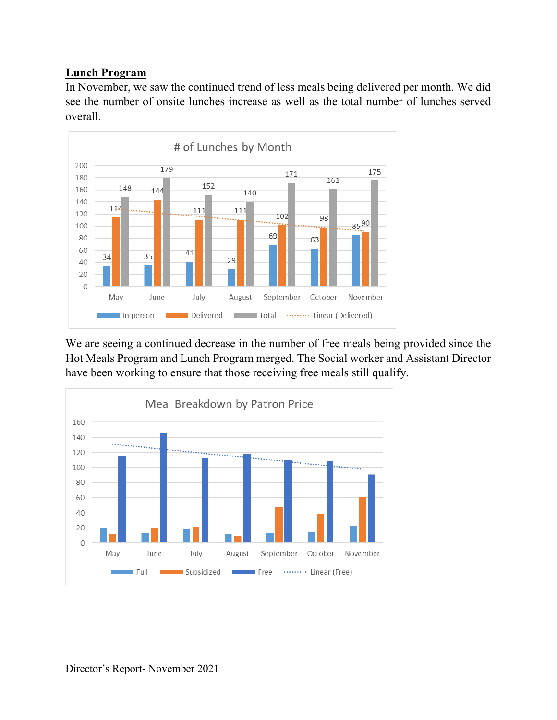#### **Lunch Program**

In November, we saw the continued trend of less meals being delivered per month. We did see the number of onsite lunches increase as well as the total number of lunches served overall.



We are seeing a continued decrease in the number of free meals being provided since the Hot Meals Program and Lunch Program merged. The Social worker and Assistant Director have been working to ensure that those receiving free meals still qualify.

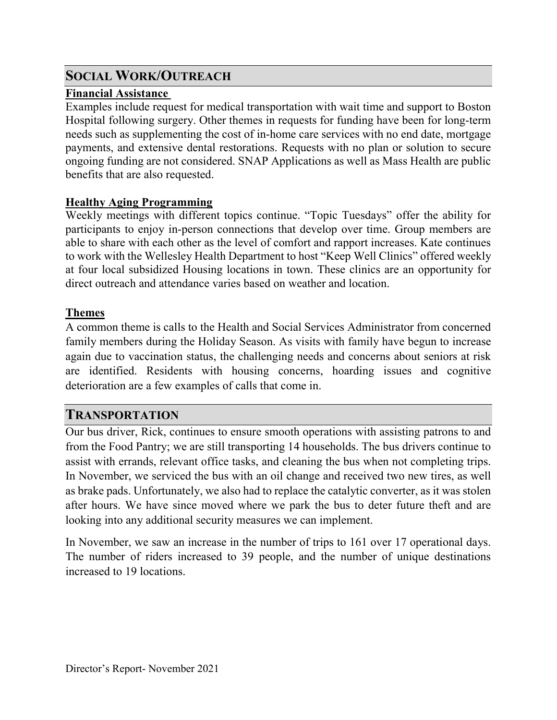## **SOCIAL WORK/OUTREACH**

## **Financial Assistance**

Examples include request for medical transportation with wait time and support to Boston Hospital following surgery. Other themes in requests for funding have been for long-term needs such as supplementing the cost of in-home care services with no end date, mortgage payments, and extensive dental restorations. Requests with no plan or solution to secure ongoing funding are not considered. SNAP Applications as well as Mass Health are public benefits that are also requested.

## **Healthy Aging Programming**

Weekly meetings with different topics continue. "Topic Tuesdays" offer the ability for participants to enjoy in-person connections that develop over time. Group members are able to share with each other as the level of comfort and rapport increases. Kate continues to work with the Wellesley Health Department to host "Keep Well Clinics" offered weekly at four local subsidized Housing locations in town. These clinics are an opportunity for direct outreach and attendance varies based on weather and location.

## **Themes**

A common theme is calls to the Health and Social Services Administrator from concerned family members during the Holiday Season. As visits with family have begun to increase again due to vaccination status, the challenging needs and concerns about seniors at risk are identified. Residents with housing concerns, hoarding issues and cognitive deterioration are a few examples of calls that come in.

# **TRANSPORTATION**

Our bus driver, Rick, continues to ensure smooth operations with assisting patrons to and from the Food Pantry; we are still transporting 14 households. The bus drivers continue to assist with errands, relevant office tasks, and cleaning the bus when not completing trips. In November, we serviced the bus with an oil change and received two new tires, as well as brake pads. Unfortunately, we also had to replace the catalytic converter, as it was stolen after hours. We have since moved where we park the bus to deter future theft and are looking into any additional security measures we can implement.

In November, we saw an increase in the number of trips to 161 over 17 operational days. The number of riders increased to 39 people, and the number of unique destinations increased to 19 locations.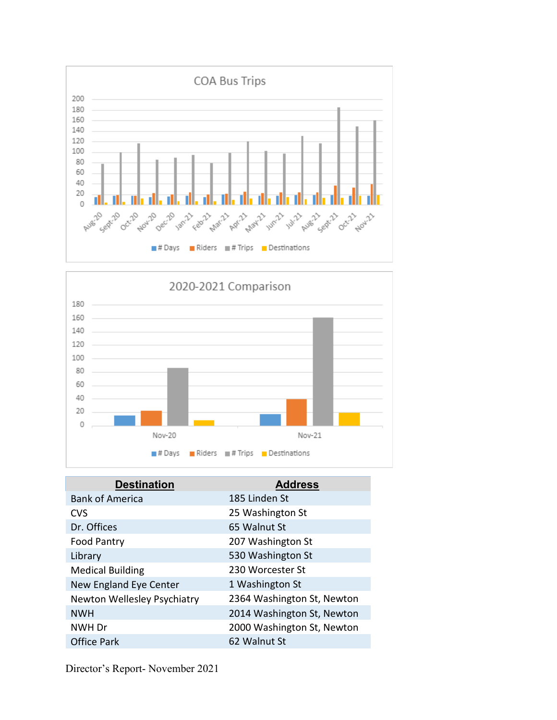



| <b>Destination</b>          | <b>Address</b>             |
|-----------------------------|----------------------------|
| <b>Bank of America</b>      | 185 Linden St              |
| <b>CVS</b>                  | 25 Washington St           |
| Dr. Offices                 | 65 Walnut St               |
| Food Pantry                 | 207 Washington St          |
| Library                     | 530 Washington St          |
| <b>Medical Building</b>     | 230 Worcester St           |
| New England Eye Center      | 1 Washington St            |
| Newton Wellesley Psychiatry | 2364 Washington St, Newton |
| <b>NWH</b>                  | 2014 Washington St, Newton |
| NWH Dr                      | 2000 Washington St, Newton |
| <b>Office Park</b>          | 62 Walnut St               |

Director's Report- November 2021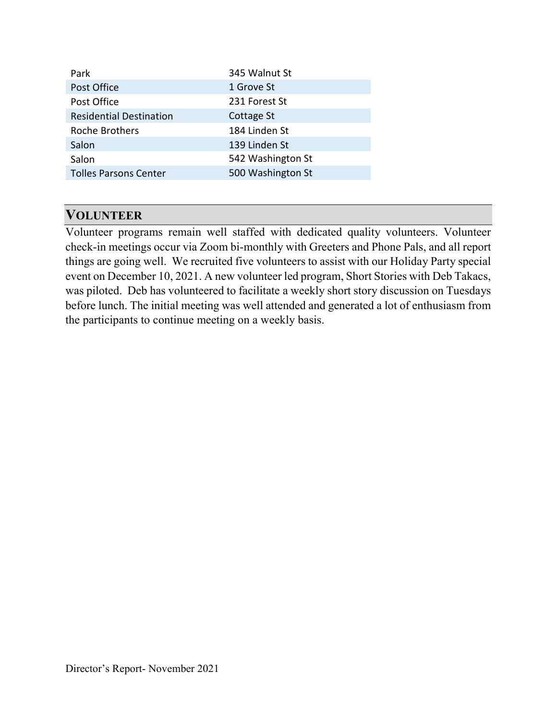| Park                           | 345 Walnut St     |
|--------------------------------|-------------------|
| Post Office                    | 1 Grove St        |
| Post Office                    | 231 Forest St     |
| <b>Residential Destination</b> | Cottage St        |
| <b>Roche Brothers</b>          | 184 Linden St     |
| Salon                          | 139 Linden St     |
| Salon                          | 542 Washington St |
| <b>Tolles Parsons Center</b>   | 500 Washington St |
|                                |                   |

## **VOLUNTEER**

Volunteer programs remain well staffed with dedicated quality volunteers. Volunteer check-in meetings occur via Zoom bi-monthly with Greeters and Phone Pals, and all report things are going well. We recruited five volunteers to assist with our Holiday Party special event on December 10, 2021. A new volunteer led program, Short Stories with Deb Takacs, was piloted. Deb has volunteered to facilitate a weekly short story discussion on Tuesdays before lunch. The initial meeting was well attended and generated a lot of enthusiasm from the participants to continue meeting on a weekly basis.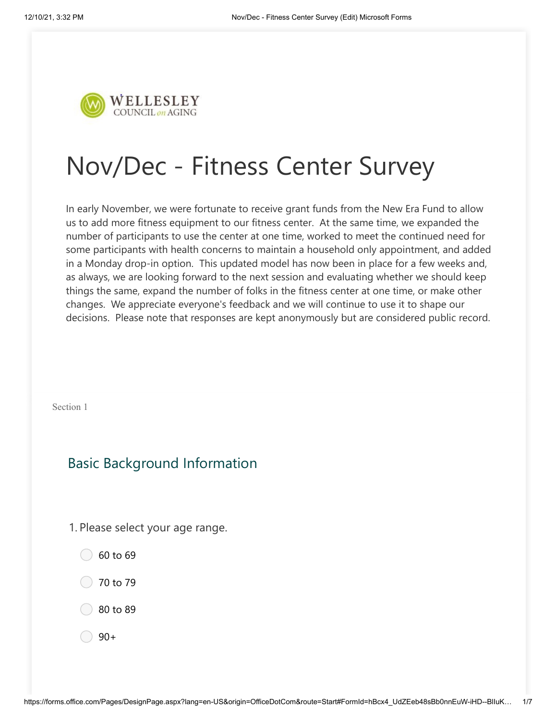

# Nov/Dec - Fitness Center Survey

In early November, we were fortunate to receive grant funds from the New Era Fund to allow us to add more fitness equipment to our fitness center. At the same time, we expanded the number of participants to use the center at one time, worked to meet the continued need for some participants with health concerns to maintain a household only appointment, and added in a Monday drop-in option. This updated model has now been in place for a few weeks and, as always, we are looking forward to the next session and evaluating whether we should keep things the same, expand the number of folks in the fitness center at one time, or make other changes. We appreciate everyone's feedback and we will continue to use it to shape our decisions. Please note that responses are kept anonymously but are considered public record.

Section 1

# Basic Background Information

- 1. Please select your age range.
	- $\bigcirc$  60 to 69
	- $\bigcirc$  70 to 79
	- 80 to 89
	- $90+$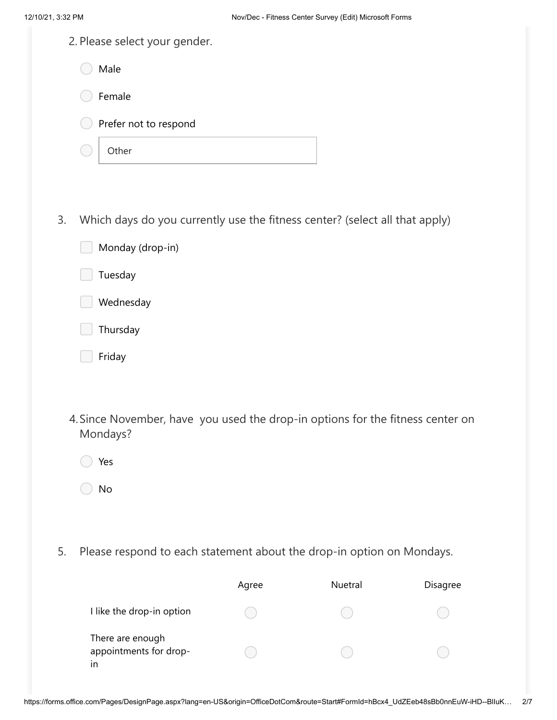| 12/10/21, 3:32 PM |                                                                                            |       | Nov/Dec - Fitness Center Survey (Edit) Microsoft Forms |          |
|-------------------|--------------------------------------------------------------------------------------------|-------|--------------------------------------------------------|----------|
|                   | 2. Please select your gender.                                                              |       |                                                        |          |
|                   | Male                                                                                       |       |                                                        |          |
|                   | Female                                                                                     |       |                                                        |          |
|                   | Prefer not to respond                                                                      |       |                                                        |          |
|                   | Other                                                                                      |       |                                                        |          |
|                   |                                                                                            |       |                                                        |          |
| 3.                | Which days do you currently use the fitness center? (select all that apply)                |       |                                                        |          |
|                   | Monday (drop-in)                                                                           |       |                                                        |          |
|                   | Tuesday                                                                                    |       |                                                        |          |
|                   | Wednesday                                                                                  |       |                                                        |          |
|                   | Thursday                                                                                   |       |                                                        |          |
|                   | Friday                                                                                     |       |                                                        |          |
|                   |                                                                                            |       |                                                        |          |
|                   | 4. Since November, have you used the drop-in options for the fitness center on<br>Mondays? |       |                                                        |          |
|                   | Yes                                                                                        |       |                                                        |          |
|                   | $\mathsf{No}$                                                                              |       |                                                        |          |
|                   |                                                                                            |       |                                                        |          |
| 5.                | Please respond to each statement about the drop-in option on Mondays.                      |       |                                                        |          |
|                   |                                                                                            | Agree | Nuetral                                                | Disagree |
|                   | I like the drop-in option                                                                  |       |                                                        |          |
| in                | There are enough<br>appointments for drop-                                                 |       |                                                        |          |

https://forms.office.com/Pages/DesignPage.aspx?lang=en-US&origin=OfficeDotCom&route=Start#FormId=hBcx4\_UdZEeb48sBb0nnEuW-iHD--BlIuK… 2/7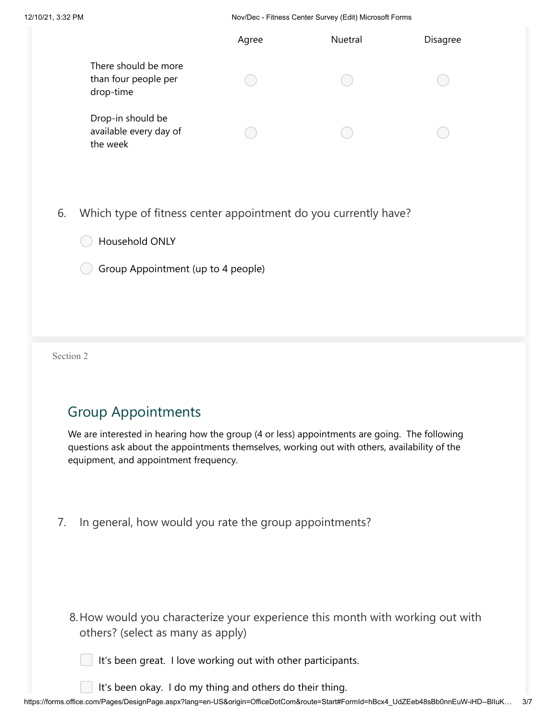12/10/21, 3:32 PM Nov/Dec - Fitness Center Survey (Edit) Microsoft Forms

|    |                                                                 | Agree | Nuetral | Disagree |
|----|-----------------------------------------------------------------|-------|---------|----------|
|    | There should be more<br>than four people per<br>drop-time       |       |         |          |
|    | Drop-in should be<br>available every day of<br>the week         |       |         |          |
| 6. | Which type of fitness center appointment do you currently have? |       |         |          |
|    | Household ONLY                                                  |       |         |          |
|    | Group Appointment (up to 4 people)                              |       |         |          |

Section 2

# Group Appointments

We are interested in hearing how the group (4 or less) appointments are going. The following questions ask about the appointments themselves, working out with others, availability of the equipment, and appointment frequency.

7. In general, how would you rate the group appointments?

- 8. How would you characterize your experience this month with working out with others? (select as many as apply)
	- It's been great. I love working out with other participants.

It's been okay. I do my thing and others do their thing.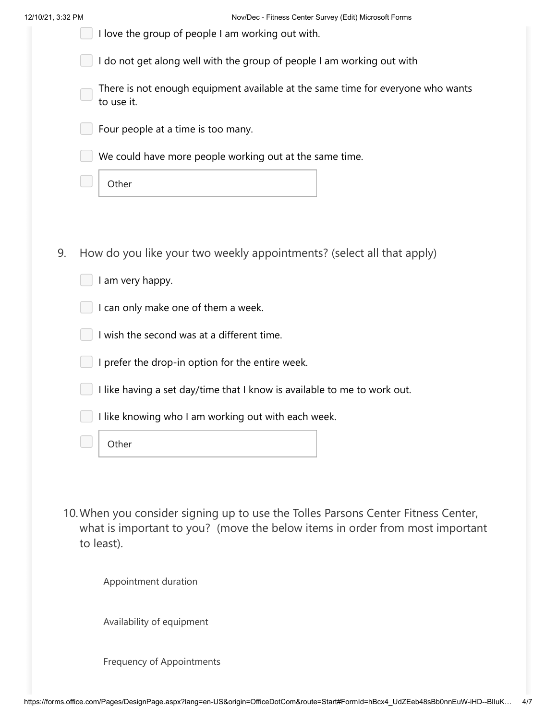|  | 12/10/21, 3:32 PM |  |
|--|-------------------|--|
|  |                   |  |

| I love the group of people I am working out with.                                                                                                                 |
|-------------------------------------------------------------------------------------------------------------------------------------------------------------------|
| I do not get along well with the group of people I am working out with                                                                                            |
| There is not enough equipment available at the same time for everyone who wants<br>to use it.                                                                     |
| Four people at a time is too many.                                                                                                                                |
| We could have more people working out at the same time.                                                                                                           |
| Other                                                                                                                                                             |
|                                                                                                                                                                   |
| How do you like your two weekly appointments? (select all that apply)                                                                                             |
| I am very happy.                                                                                                                                                  |
| I can only make one of them a week.                                                                                                                               |
| I wish the second was at a different time.                                                                                                                        |
| I prefer the drop-in option for the entire week.                                                                                                                  |
| I like having a set day/time that I know is available to me to work out.                                                                                          |
| I like knowing who I am working out with each week.                                                                                                               |
| Other                                                                                                                                                             |
|                                                                                                                                                                   |
| 10. When you consider signing up to use the Tolles Parsons Center Fitness Center,<br>what is important to you? (move the below items in order from most important |
| to least).                                                                                                                                                        |
| Appointment duration                                                                                                                                              |
| Availability of equipment                                                                                                                                         |
| <b>Frequency of Appointments</b>                                                                                                                                  |
| 9.                                                                                                                                                                |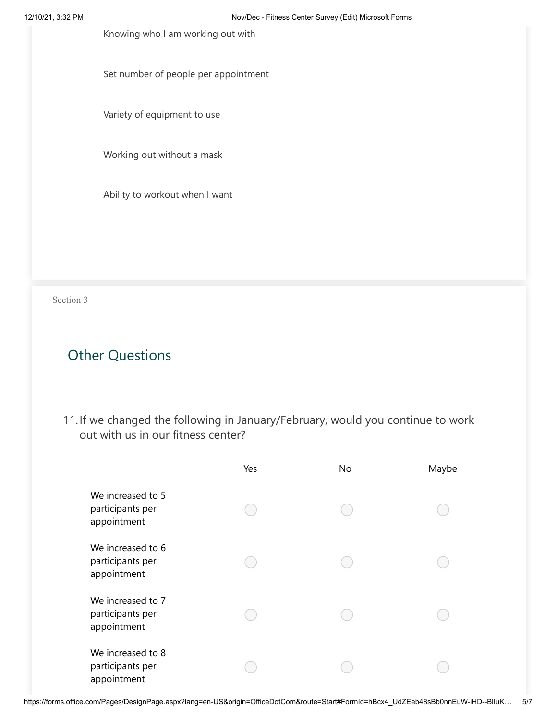Knowing who I am working out with

Set number of people per appointment

Variety of equipment to use

Working out without a mask

Ability to workout when I want

Section 3

# Other Questions

11. If we changed the following in January/February, would you continue to work out with us in our fitness center?

|                                                      | Yes | <b>No</b> | Maybe |
|------------------------------------------------------|-----|-----------|-------|
| We increased to 5<br>participants per<br>appointment |     |           |       |
| We increased to 6<br>participants per<br>appointment |     |           |       |
| We increased to 7<br>participants per<br>appointment |     |           |       |
| We increased to 8<br>participants per<br>appointment |     |           |       |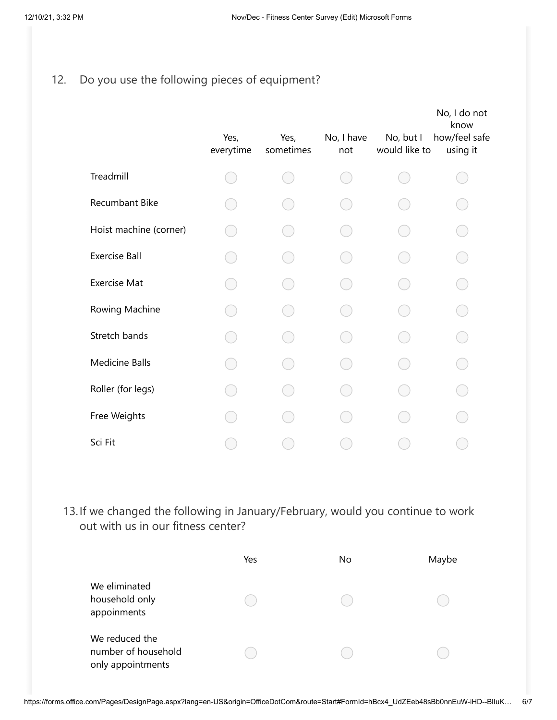# 12. Do you use the following pieces of equipment?

|                        | Yes,<br>everytime | Yes,<br>sometimes | No, I have<br>not | No, but I<br>would like to | No, I do not<br>know<br>how/feel safe<br>using it |
|------------------------|-------------------|-------------------|-------------------|----------------------------|---------------------------------------------------|
| Treadmill              |                   |                   |                   |                            |                                                   |
| Recumbant Bike         |                   |                   |                   |                            |                                                   |
| Hoist machine (corner) |                   |                   |                   |                            |                                                   |
| <b>Exercise Ball</b>   |                   |                   |                   |                            |                                                   |
| <b>Exercise Mat</b>    |                   |                   |                   |                            |                                                   |
| Rowing Machine         |                   |                   |                   |                            |                                                   |
| Stretch bands          |                   |                   |                   |                            |                                                   |
| <b>Medicine Balls</b>  |                   |                   |                   |                            |                                                   |
| Roller (for legs)      |                   |                   |                   |                            |                                                   |
| Free Weights           |                   |                   |                   |                            |                                                   |
| Sci Fit                |                   |                   |                   |                            |                                                   |

13. If we changed the following in January/February, would you continue to work out with us in our fitness center?

|                                                            | Yes | No | Maybe |
|------------------------------------------------------------|-----|----|-------|
| We eliminated<br>household only<br>appoinments             |     |    |       |
| We reduced the<br>number of household<br>only appointments |     |    |       |